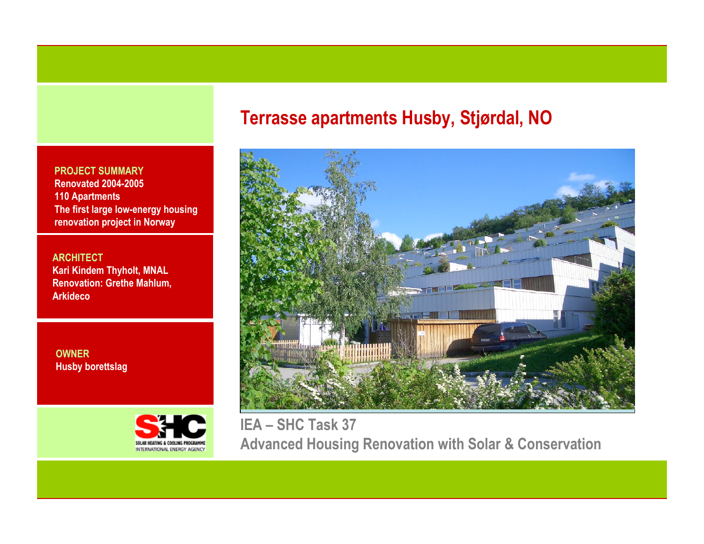PROJECT SUMMARY Renovated 2004-2005110 Apartments The first large low-energy housing renovation project in Norway

**ARCHITECT**  Kari Kindem Thyholt, MNAL Renovation: Grethe Mahlum, **Arkideco** 

OWNERHusby borettslag



# Terrasse apartments Husby, Stjørdal, NO



IEA – SHC Task 37 Advanced Housing Renovation with Solar & Conservation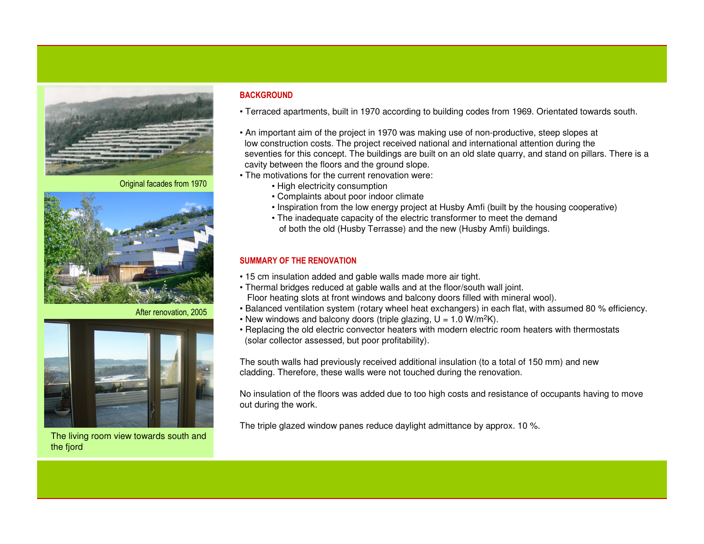

Original facades from 1970



After renovation, 2005



The living room view towards south and the fjord

# **BACKGROUND**

- Terraced apartments, built in 1970 according to building codes from 1969. Orientated towards south.
- An important aim of the project in 1970 was making use of non-productive, steep slopes at low construction costs. The project received national and international attention during the seventies for this concept. The buildings are built on an old slate quarry, and stand on pillars. There is a cavity between the floors and the ground slope.
- The motivations for the current renovation were:
	- High electricity consumption
	- Complaints about poor indoor climate
	- Inspiration from the low energy project at Husby Amfi (built by the housing cooperative)
	- The inadequate capacity of the electric transformer to meet the demand of both the old (Husby Terrasse) and the new (Husby Amfi) buildings.

# SUMMARY OF THE RENOVATION

- 15 cm insulation added and gable walls made more air tight.
- Thermal bridges reduced at gable walls and at the floor/south wall joint. Floor heating slots at front windows and balcony doors filled with mineral wool).
- Balanced ventilation system (rotary wheel heat exchangers) in each flat, with assumed 80 % efficiency.
- New windows and balcony doors (triple glazing, U = 1.0 W/m<sup>2</sup>K).
- Replacing the old electric convector heaters with modern electric room heaters with thermostats(solar collector assessed, but poor profitability).

The south walls had previously received additional insulation (to a total of 150 mm) and new cladding. Therefore, these walls were not touched during the renovation.

No insulation of the floors was added due to too high costs and resistance of occupants having to moveout during the work.

The triple glazed window panes reduce daylight admittance by approx. 10 %.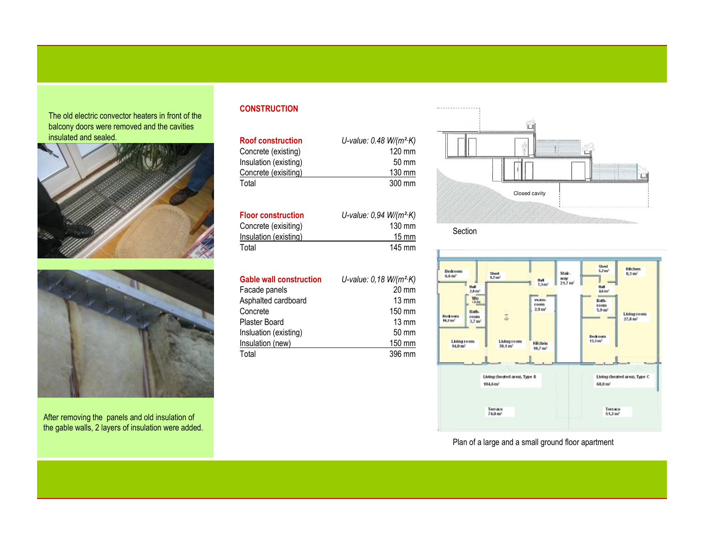The old electric convector heaters in front of the balcony doors were removed and the cavities insulated and sealed.





After removing the panels and old insulation of the gable walls, 2 layers of insulation were added.

# **CONSTRUCTION**

| <b>Roof construction</b> | U-value: $0.48 W/(m^2 \cdot K)$ |
|--------------------------|---------------------------------|
| Concrete (existing)      | $120 \text{ mm}$                |
| Insulation (existing)    | 50 mm                           |
| Concrete (exisiting)     | 130 mm                          |
| Total                    | 300 mm                          |

| <b>Floor construction</b> | U-value: $0.94$ W/( $m^2$ K) |  |
|---------------------------|------------------------------|--|
| Concrete (exisiting)      | $130 \text{ mm}$             |  |
| Insulation (existing)     | $15 \text{ mm}$              |  |
| Total                     | 145 mm                       |  |

| <b>Gable wall construction</b> | U-value: $0,18$ W/( $m^2$ K) |
|--------------------------------|------------------------------|
| Facade panels                  | $20 \text{ mm}$              |
| Asphalted cardboard            | $13 \text{ mm}$              |
| Concrete                       | 150 mm                       |
| Plaster Board                  | $13 \text{ mm}$              |
| Insluation (existing)          | 50 mm                        |
| Insulation (new)               | 150 mm                       |
| Total                          | 396 mm                       |



Section



Plan of a large and a small ground floor apartment